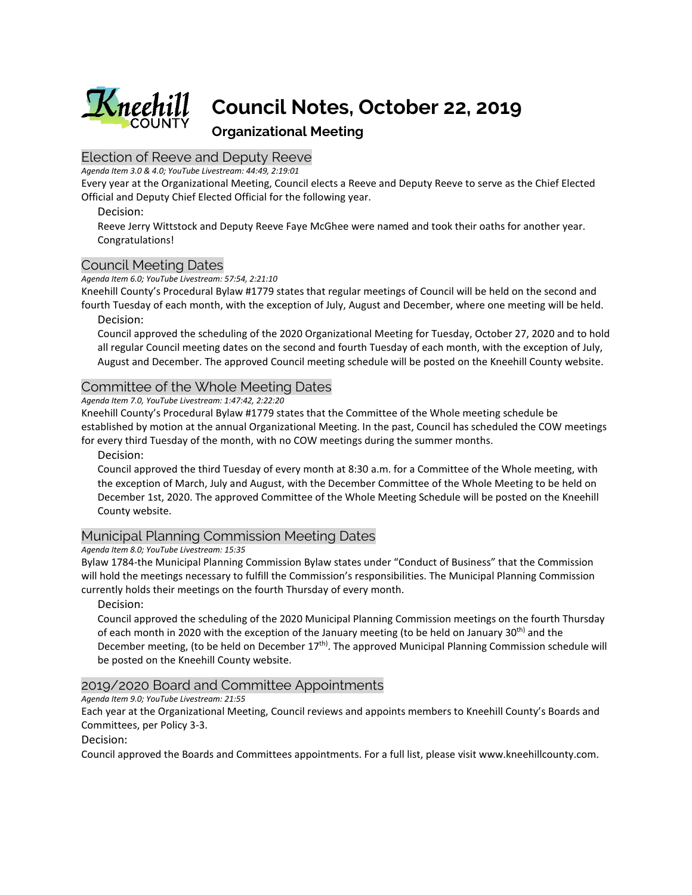

# **Council Notes, October 22, 2019**

# **Organizational Meeting**

# Election of Reeve and Deputy Reeve

*Agenda Item 3.0 & 4.0; YouTube Livestream: 44:49, 2:19:01*

Every year at the Organizational Meeting, Council elects a Reeve and Deputy Reeve to serve as the Chief Elected Official and Deputy Chief Elected Official for the following year.

Decision:

Reeve Jerry Wittstock and Deputy Reeve Faye McGhee were named and took their oaths for another year. Congratulations!

## Council Meeting Dates

*Agenda Item 6.0; YouTube Livestream: 57:54, 2:21:10*

Kneehill County's Procedural Bylaw #1779 states that regular meetings of Council will be held on the second and fourth Tuesday of each month, with the exception of July, August and December, where one meeting will be held.

Decision:

Council approved the scheduling of the 2020 Organizational Meeting for Tuesday, October 27, 2020 and to hold all regular Council meeting dates on the second and fourth Tuesday of each month, with the exception of July, August and December. The approved Council meeting schedule will be posted on the Kneehill County website.

## Committee of the Whole Meeting Dates

*Agenda Item 7.0, YouTube Livestream: 1:47:42, 2:22:20*

Kneehill County's Procedural Bylaw #1779 states that the Committee of the Whole meeting schedule be established by motion at the annual Organizational Meeting. In the past, Council has scheduled the COW meetings for every third Tuesday of the month, with no COW meetings during the summer months.

Decision:

Council approved the third Tuesday of every month at 8:30 a.m. for a Committee of the Whole meeting, with the exception of March, July and August, with the December Committee of the Whole Meeting to be held on December 1st, 2020. The approved Committee of the Whole Meeting Schedule will be posted on the Kneehill County website.

# Municipal Planning Commission Meeting Dates

### *Agenda Item 8.0; YouTube Livestream: 15:35*

Bylaw 1784-the Municipal Planning Commission Bylaw states under "Conduct of Business" that the Commission will hold the meetings necessary to fulfill the Commission's responsibilities. The Municipal Planning Commission currently holds their meetings on the fourth Thursday of every month.

Decision:

Council approved the scheduling of the 2020 Municipal Planning Commission meetings on the fourth Thursday of each month in 2020 with the exception of the January meeting (to be held on January 30<sup>th)</sup> and the December meeting, (to be held on December 17<sup>th)</sup>. The approved Municipal Planning Commission schedule will be posted on the Kneehill County website.

## 2019/2020 Board and Committee Appointments

*Agenda Item 9.0; YouTube Livestream: 21:55*

Each year at the Organizational Meeting, Council reviews and appoints members to Kneehill County's Boards and Committees, per Policy 3-3.

Decision:

Council approved the Boards and Committees appointments. For a full list, please visit www.kneehillcounty.com.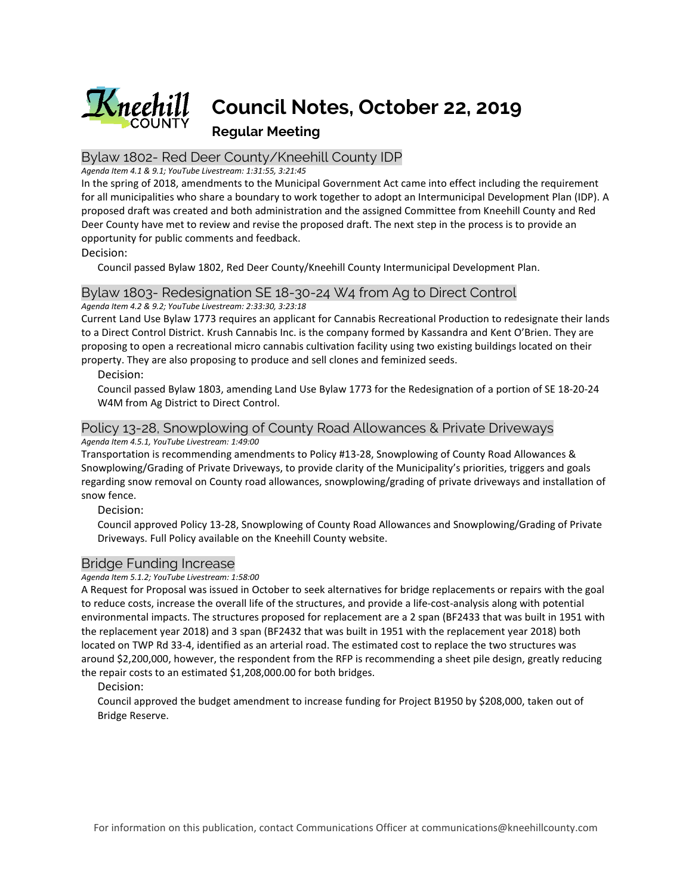

## Bylaw 1802- Red Deer County/Kneehill County IDP

#### *Agenda Item 4.1 & 9.1; YouTube Livestream: 1:31:55, 3:21:45*

In the spring of 2018, amendments to the Municipal Government Act came into effect including the requirement for all municipalities who share a boundary to work together to adopt an Intermunicipal Development Plan (IDP). A proposed draft was created and both administration and the assigned Committee from Kneehill County and Red Deer County have met to review and revise the proposed draft. The next step in the process is to provide an opportunity for public comments and feedback.

Decision:

Council passed Bylaw 1802, Red Deer County/Kneehill County Intermunicipal Development Plan.

# Bylaw 1803- Redesignation SE 18-30-24 W4 from Ag to Direct Control

*Agenda Item 4.2 & 9.2; YouTube Livestream: 2:33:30, 3:23:18*

Current Land Use Bylaw 1773 requires an applicant for Cannabis Recreational Production to redesignate their lands to a Direct Control District. Krush Cannabis Inc. is the company formed by Kassandra and Kent O'Brien. They are proposing to open a recreational micro cannabis cultivation facility using two existing buildings located on their property. They are also proposing to produce and sell clones and feminized seeds.

Decision:

Council passed Bylaw 1803, amending Land Use Bylaw 1773 for the Redesignation of a portion of SE 18-20-24 W4M from Ag District to Direct Control.

# Policy 13-28, Snowplowing of County Road Allowances & Private Driveways

*Agenda Item 4.5.1, YouTube Livestream: 1:49:00* 

Transportation is recommending amendments to Policy #13-28, Snowplowing of County Road Allowances & Snowplowing/Grading of Private Driveways, to provide clarity of the Municipality's priorities, triggers and goals regarding snow removal on County road allowances, snowplowing/grading of private driveways and installation of snow fence.

Decision:

Council approved Policy 13-28, Snowplowing of County Road Allowances and Snowplowing/Grading of Private Driveways. Full Policy available on the Kneehill County website.

## Bridge Funding Increase

*Agenda Item 5.1.2; YouTube Livestream: 1:58:00*

A Request for Proposal was issued in October to seek alternatives for bridge replacements or repairs with the goal to reduce costs, increase the overall life of the structures, and provide a life-cost-analysis along with potential environmental impacts. The structures proposed for replacement are a 2 span (BF2433 that was built in 1951 with the replacement year 2018) and 3 span (BF2432 that was built in 1951 with the replacement year 2018) both located on TWP Rd 33-4, identified as an arterial road. The estimated cost to replace the two structures was around \$2,200,000, however, the respondent from the RFP is recommending a sheet pile design, greatly reducing the repair costs to an estimated \$1,208,000.00 for both bridges.

Decision:

Council approved the budget amendment to increase funding for Project B1950 by \$208,000, taken out of Bridge Reserve.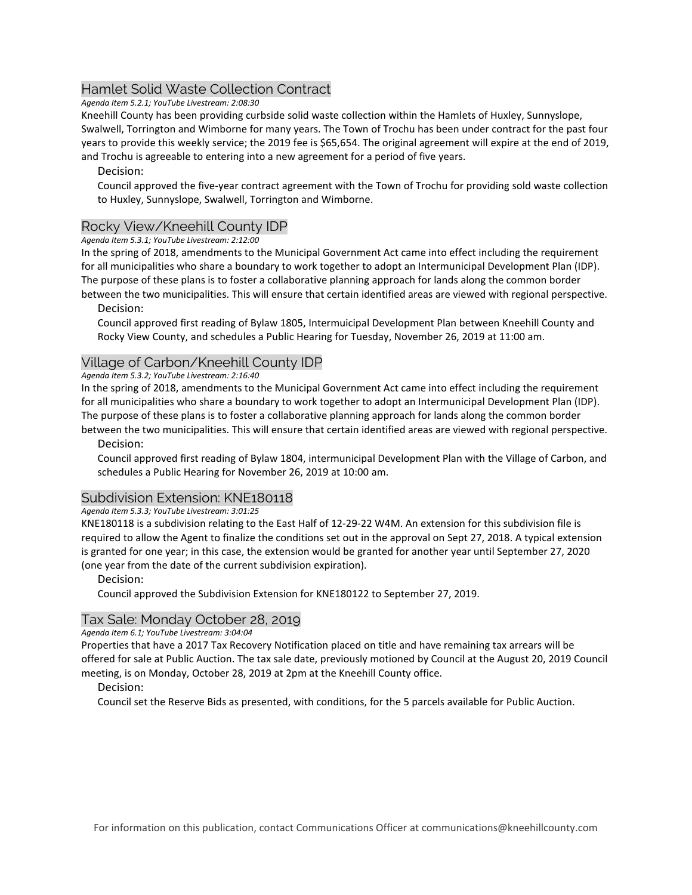# Hamlet Solid Waste Collection Contract

*Agenda Item 5.2.1; YouTube Livestream: 2:08:30*

Kneehill County has been providing curbside solid waste collection within the Hamlets of Huxley, Sunnyslope, Swalwell, Torrington and Wimborne for many years. The Town of Trochu has been under contract for the past four years to provide this weekly service; the 2019 fee is \$65,654. The original agreement will expire at the end of 2019, and Trochu is agreeable to entering into a new agreement for a period of five years.

## Decision:

Council approved the five-year contract agreement with the Town of Trochu for providing sold waste collection to Huxley, Sunnyslope, Swalwell, Torrington and Wimborne.

## Rocky View/Kneehill County IDP

*Agenda Item 5.3.1; YouTube Livestream: 2:12:00*

In the spring of 2018, amendments to the Municipal Government Act came into effect including the requirement for all municipalities who share a boundary to work together to adopt an Intermunicipal Development Plan (IDP). The purpose of these plans is to foster a collaborative planning approach for lands along the common border between the two municipalities. This will ensure that certain identified areas are viewed with regional perspective.

Decision:

Council approved first reading of Bylaw 1805, Intermuicipal Development Plan between Kneehill County and Rocky View County, and schedules a Public Hearing for Tuesday, November 26, 2019 at 11:00 am.

## Village of Carbon/Kneehill County IDP

#### *Agenda Item 5.3.2; YouTube Livestream: 2:16:40*

In the spring of 2018, amendments to the Municipal Government Act came into effect including the requirement for all municipalities who share a boundary to work together to adopt an Intermunicipal Development Plan (IDP). The purpose of these plans is to foster a collaborative planning approach for lands along the common border

between the two municipalities. This will ensure that certain identified areas are viewed with regional perspective. Decision:

Council approved first reading of Bylaw 1804, intermunicipal Development Plan with the Village of Carbon, and schedules a Public Hearing for November 26, 2019 at 10:00 am.

## Subdivision Extension: KNE180118

### *Agenda Item 5.3.3; YouTube Livestream: 3:01:25*

KNE180118 is a subdivision relating to the East Half of 12-29-22 W4M. An extension for this subdivision file is required to allow the Agent to finalize the conditions set out in the approval on Sept 27, 2018. A typical extension is granted for one year; in this case, the extension would be granted for another year until September 27, 2020 (one year from the date of the current subdivision expiration).

### Decision:

Council approved the Subdivision Extension for KNE180122 to September 27, 2019.

## Tax Sale: Monday October 28, 2019

*Agenda Item 6.1; YouTube Livestream: 3:04:04*

Properties that have a 2017 Tax Recovery Notification placed on title and have remaining tax arrears will be offered for sale at Public Auction. The tax sale date, previously motioned by Council at the August 20, 2019 Council meeting, is on Monday, October 28, 2019 at 2pm at the Kneehill County office.

### Decision:

Council set the Reserve Bids as presented, with conditions, for the 5 parcels available for Public Auction.